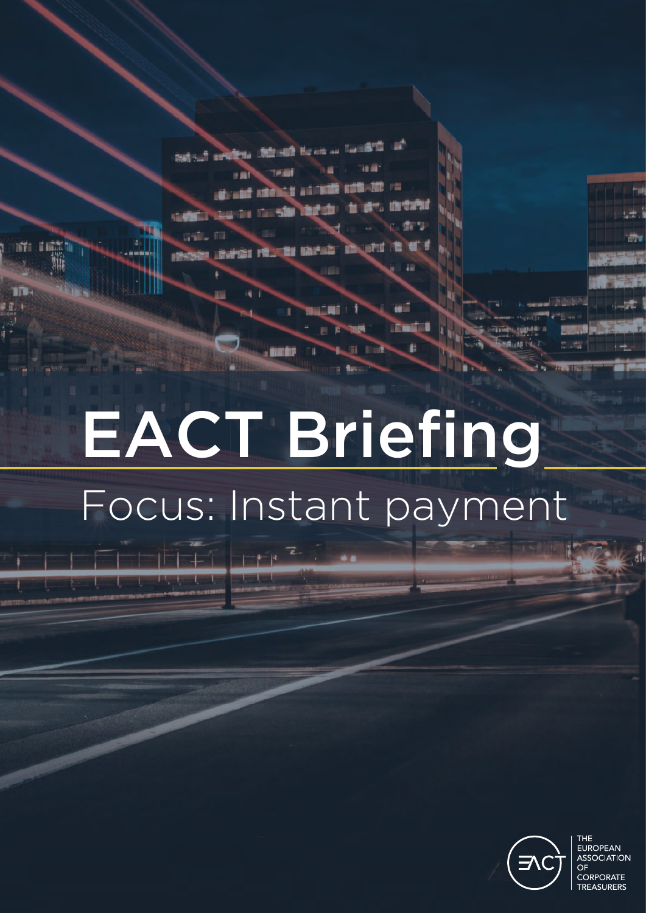12:85 10 behalf selften Ministr Brown **BE INCHE** 

# EACT Briefing Focus: Instant payment

**MES** 



THE **FUROPFAN** ASSOCIATION CORPORATE **TREASURERS**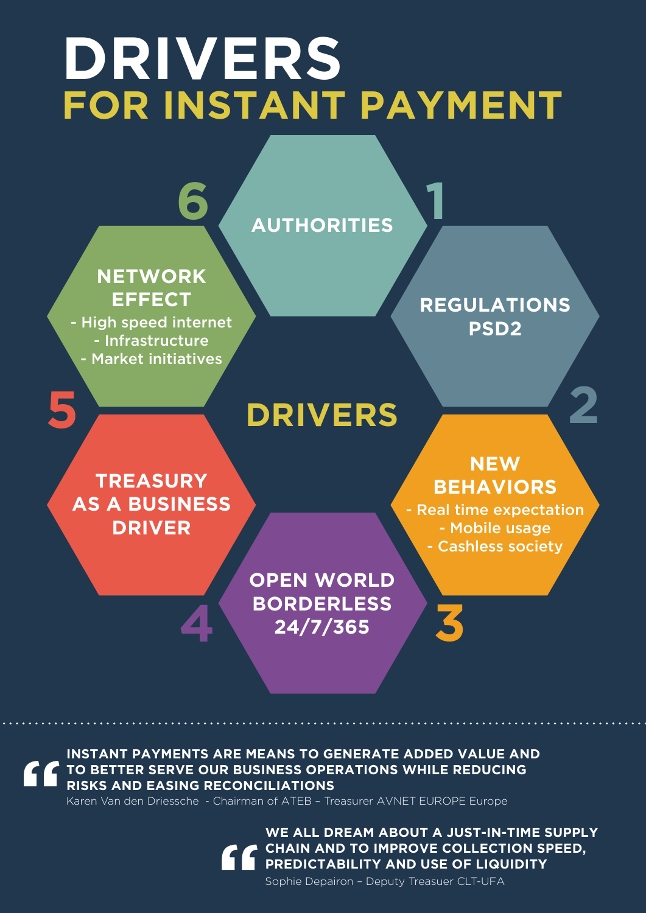### **DRIVERS FOR INSTANT PAYMENT**



**INSTANT PAYMENTS ARE MEANS TO GENERATE ADDED VALUE AND TO BETTER SERVE OUR BUSINESS OPERATIONS WHILE REDUCING RISKS AND EASING RECONCILIATIONS**

Karen Van den Driessche - Chairman of ATEB – Treasurer AVNET EUROPE Europe

**WE ALL DREAM ABOUT A JUST-IN-TIME SUPPLY CHAIN AND TO IMPROVE COLLECTION SPEED, PREDICTABILITY AND USE OF LIQUIDITY**

Sophie Depairon – Deputy Treasuer CLT-UFA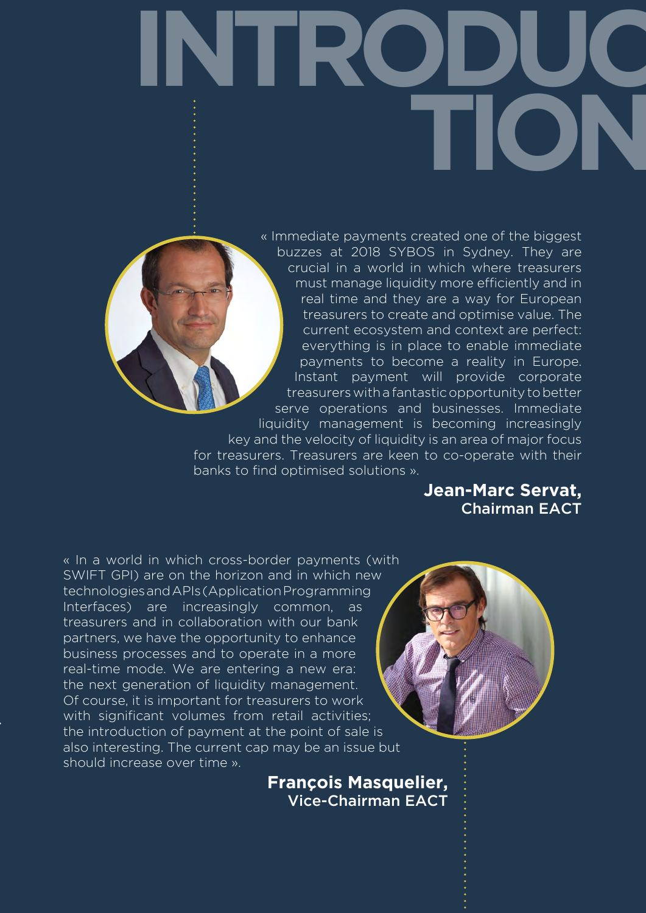**INTRODUC TION**



« Immediate payments created one of the biggest buzzes at 2018 SYBOS in Sydney. They are crucial in a world in which where treasurers must manage liquidity more efficiently and in real time and they are a way for European treasurers to create and optimise value. The current ecosystem and context are perfect: everything is in place to enable immediate payments to become a reality in Europe. Instant payment will provide corporate treasurers with a fantastic opportunity to better serve operations and businesses. Immediate liquidity management is becoming increasingly key and the velocity of liquidity is an area of major focus

for treasurers. Treasurers are keen to co-operate with their banks to find optimised solutions ».

> **Jean-Marc Servat,** Chairman EACT

« In a world in which cross-border payments (with SWIFT GPI) are on the horizon and in which new technologies and APIs (Application Programming Interfaces) are increasingly common, as treasurers and in collaboration with our bank partners, we have the opportunity to enhance business processes and to operate in a more real-time mode. We are entering a new era: the next generation of liquidity management. Of course, it is important for treasurers to work with significant volumes from retail activities; the introduction of payment at the point of sale is also interesting. The current cap may be an issue but should increase over time ».

> **François Masquelier,** Vice-Chairman EACT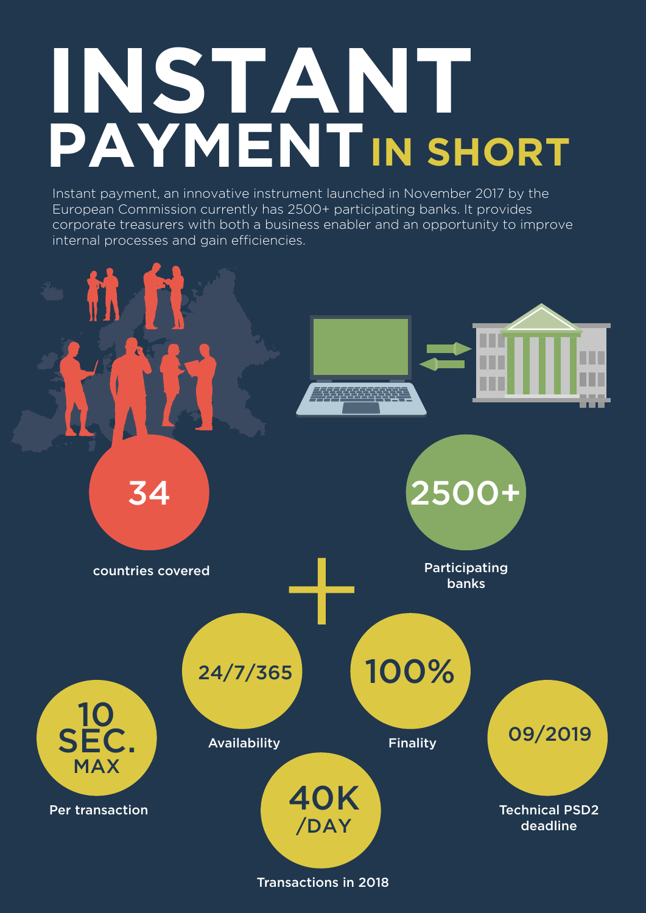# **INSTANT PAYMENTIN SHORT**

Instant payment, an innovative instrument launched in November 2017 by the European Commission currently has 2500+ participating banks. It provides corporate treasurers with both a business enabler and an opportunity to improve internal processes and gain efficiencies.

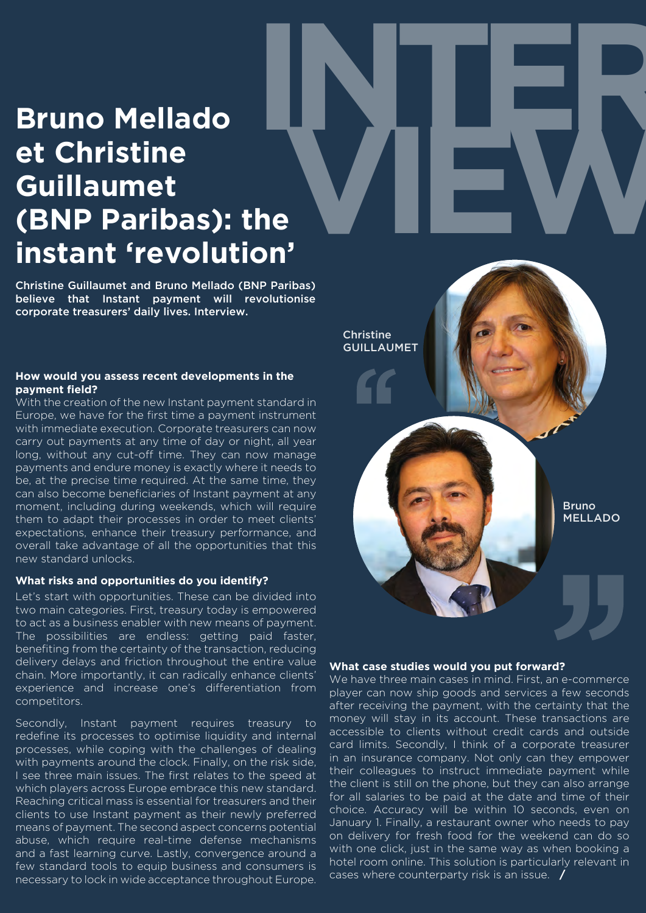### **Bruno Mellado et Christine Guillaumet (BNP Paribas): the instant 'revolution' INTER VIEW**

Christine Guillaumet and Bruno Mellado (BNP Paribas) believe that Instant payment will revolutionise corporate treasurers' daily lives. Interview.

#### **How would you assess recent developments in the payment field?**

With the creation of the new Instant payment standard in Europe, we have for the first time a payment instrument with immediate execution. Corporate treasurers can now carry out payments at any time of day or night, all year long, without any cut-off time. They can now manage payments and endure money is exactly where it needs to be, at the precise time required. At the same time, they can also become beneficiaries of Instant payment at any moment, including during weekends, which will require them to adapt their processes in order to meet clients' expectations, enhance their treasury performance, and overall take advantage of all the opportunities that this new standard unlocks.

#### **What risks and opportunities do you identify?**

Let's start with opportunities. These can be divided into two main categories. First, treasury today is empowered to act as a business enabler with new means of payment. The possibilities are endless: getting paid faster, benefiting from the certainty of the transaction, reducing delivery delays and friction throughout the entire value chain. More importantly, it can radically enhance clients' experience and increase one's differentiation from competitors.

Secondly, Instant payment requires treasury to redefine its processes to optimise liquidity and internal processes, while coping with the challenges of dealing with payments around the clock. Finally, on the risk side, I see three main issues. The first relates to the speed at which players across Europe embrace this new standard. Reaching critical mass is essential for treasurers and their clients to use Instant payment as their newly preferred means of payment. The second aspect concerns potential abuse, which require real-time defense mechanisms and a fast learning curve. Lastly, convergence around a few standard tools to equip business and consumers is necessary to lock in wide acceptance throughout Europe.



#### **What case studies would you put forward?**

We have three main cases in mind. First, an e-commerce player can now ship goods and services a few seconds after receiving the payment, with the certainty that the money will stay in its account. These transactions are accessible to clients without credit cards and outside card limits. Secondly, I think of a corporate treasurer in an insurance company. Not only can they empower their colleagues to instruct immediate payment while the client is still on the phone, but they can also arrange for all salaries to be paid at the date and time of their choice. Accuracy will be within 10 seconds, even on January 1. Finally, a restaurant owner who needs to pay on delivery for fresh food for the weekend can do so with one click, just in the same way as when booking a hotel room online. This solution is particularly relevant in cases where counterparty risk is an issue. **/**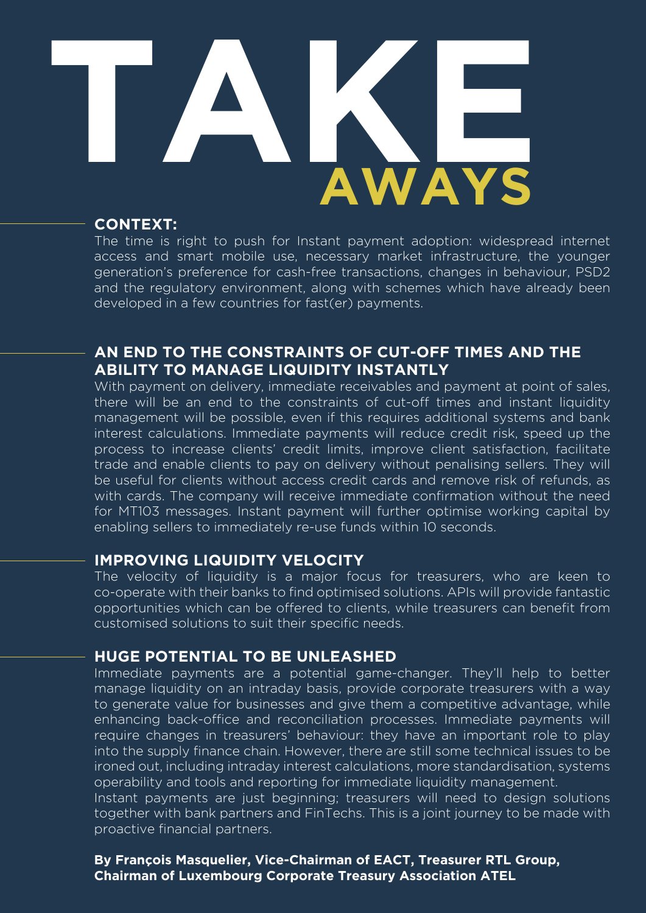# **AWAYS TAKE**

### **CONTEXT:**

The time is right to push for Instant payment adoption: widespread internet access and smart mobile use, necessary market infrastructure, the younger generation's preference for cash-free transactions, changes in behaviour, PSD2 and the regulatory environment, along with schemes which have already been developed in a few countries for fast(er) payments.

### **AN END TO THE CONSTRAINTS OF CUT-OFF TIMES AND THE ABILITY TO MANAGE LIQUIDITY INSTANTLY**

With payment on delivery, immediate receivables and payment at point of sales, there will be an end to the constraints of cut-off times and instant liquidity management will be possible, even if this requires additional systems and bank interest calculations. Immediate payments will reduce credit risk, speed up the process to increase clients' credit limits, improve client satisfaction, facilitate trade and enable clients to pay on delivery without penalising sellers. They will be useful for clients without access credit cards and remove risk of refunds, as with cards. The company will receive immediate confirmation without the need for MT103 messages. Instant payment will further optimise working capital by enabling sellers to immediately re-use funds within 10 seconds.

### **IMPROVING LIQUIDITY VELOCITY**

The velocity of liquidity is a major focus for treasurers, who are keen to co-operate with their banks to find optimised solutions. APIs will provide fantastic opportunities which can be offered to clients, while treasurers can benefit from customised solutions to suit their specific needs.

### **HUGE POTENTIAL TO BE UNLEASHED**

Immediate payments are a potential game-changer. They'll help to better manage liquidity on an intraday basis, provide corporate treasurers with a way to generate value for businesses and give them a competitive advantage, while enhancing back-office and reconciliation processes. Immediate payments will require changes in treasurers' behaviour: they have an important role to play into the supply finance chain. However, there are still some technical issues to be ironed out, including intraday interest calculations, more standardisation, systems operability and tools and reporting for immediate liquidity management.

Instant payments are just beginning; treasurers will need to design solutions together with bank partners and FinTechs. This is a joint journey to be made with proactive financial partners.

**By François Masquelier, Vice-Chairman of EACT, Treasurer RTL Group, Chairman of Luxembourg Corporate Treasury Association ATEL**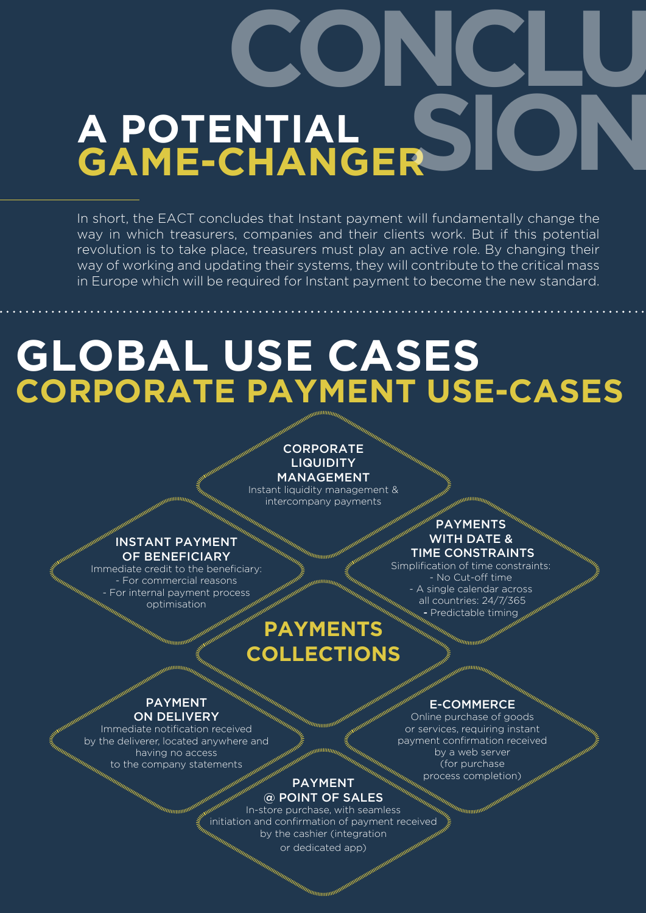# **A POTENTIAL GAME-CHANGER SION CONCLU**

In short, the EACT concludes that Instant payment will fundamentally change the way in which treasurers, companies and their clients work. But if this potential revolution is to take place, treasurers must play an active role. By changing their way of working and updating their systems, they will contribute to the critical mass in Europe which will be required for Instant payment to become the new standard.

### **GLOBAL USE CASES CORPORATE PAYMENT USE-CASES**

### CORPORATE **LIQUIDITY**

MANAGEMENT Instant liquidity management & intercompany payments

### INSTANT PAYMENT OF BENEFICIARY

Immediate credit to the beneficiary: - For commercial reasons For internal payment process optimisation

### **PAYMENTS** WITH DATE & TIME CONSTRAINTS

Simplification of time constraints: - No Cut-off time A single calendar across all countries: 24/7/365 Predictable timing

### **PAYMENTS COLLECTIONS**

### PAYMENT ON DELIVERY

Immediate notification received by the deliverer, located anywhere and having no access to the company statements

### PAYMENT @ POINT OF SALES

In-store purchase, with seamless initiation and confirmation of payment received by the cashier (integration or dedicated app)

### E-COMMERCE

Online purchase of goods or services, requiring instant payment confirmation received by a web server (for purchase process completion)